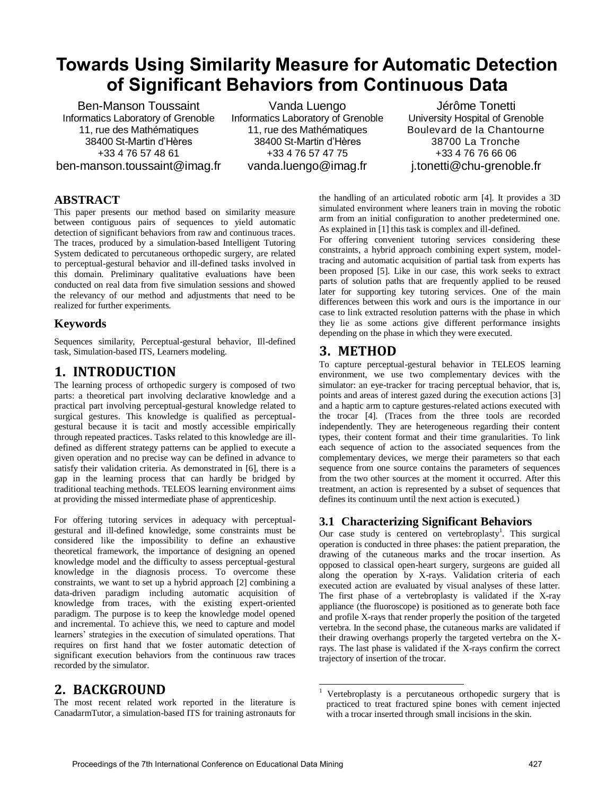# **Towards Using Similarity Measure for Automatic Detection of Significant Behaviors from Continuous Data**

Ben-Manson Toussaint Informatics Laboratory of Grenoble 11, rue des Mathématiques 38400 St-Martin d'Hères +33 4 76 57 48 61 ben-manson.toussaint@imag.fr

Vanda Luengo Informatics Laboratory of Grenoble 11, rue des Mathématiques 38400 St-Martin d'Hères +33 4 76 57 47 75 vanda.luengo@imag.fr

Jérôme Tonetti University Hospital of Grenoble Boulevard de la Chantourne 38700 La Tronche +33 4 76 76 66 06 j.tonetti@chu-grenoble.fr

#### **ABSTRACT**

This paper presents our method based on similarity measure between contiguous pairs of sequences to yield automatic detection of significant behaviors from raw and continuous traces. The traces, produced by a simulation-based Intelligent Tutoring System dedicated to percutaneous orthopedic surgery, are related to perceptual-gestural behavior and ill-defined tasks involved in this domain. Preliminary qualitative evaluations have been conducted on real data from five simulation sessions and showed the relevancy of our method and adjustments that need to be realized for further experiments.

#### **Keywords**

Sequences similarity, Perceptual-gestural behavior, Ill-defined task, Simulation-based ITS, Learners modeling.

# **1. INTRODUCTION**

The learning process of orthopedic surgery is composed of two parts: a theoretical part involving declarative knowledge and a practical part involving perceptual-gestural knowledge related to surgical gestures. This knowledge is qualified as perceptualgestural because it is tacit and mostly accessible empirically through repeated practices. Tasks related to this knowledge are illdefined as different strategy patterns can be applied to execute a given operation and no precise way can be defined in advance to satisfy their validation criteria. As demonstrated in [6], there is a gap in the learning process that can hardly be bridged by traditional teaching methods. TELEOS learning environment aims at providing the missed intermediate phase of apprenticeship.

For offering tutoring services in adequacy with perceptualgestural and ill-defined knowledge, some constraints must be considered like the impossibility to define an exhaustive theoretical framework, the importance of designing an opened knowledge model and the difficulty to assess perceptual-gestural knowledge in the diagnosis process. To overcome these constraints, we want to set up a hybrid approach [2] combining a data-driven paradigm including automatic acquisition of knowledge from traces, with the existing expert-oriented paradigm. The purpose is to keep the knowledge model opened and incremental. To achieve this, we need to capture and model learners' strategies in the execution of simulated operations. That requires on first hand that we foster automatic detection of significant execution behaviors from the continuous raw traces recorded by the simulator.

## **2. BACKGROUND**

The most recent related work reported in the literature is CanadarmTutor, a simulation-based ITS for training astronauts for

the handling of an articulated robotic arm [4]. It provides a 3D simulated environment where leaners train in moving the robotic arm from an initial configuration to another predetermined one. As explained in [1] this task is complex and ill-defined.

For offering convenient tutoring services considering these constraints, a hybrid approach combining expert system, modeltracing and automatic acquisition of partial task from experts has been proposed [5]. Like in our case, this work seeks to extract parts of solution paths that are frequently applied to be reused later for supporting key tutoring services. One of the main differences between this work and ours is the importance in our case to link extracted resolution patterns with the phase in which they lie as some actions give different performance insights depending on the phase in which they were executed.

### **3. METHOD**

To capture perceptual-gestural behavior in TELEOS learning environment, we use two complementary devices with the simulator: an eye-tracker for tracing perceptual behavior, that is, points and areas of interest gazed during the execution actions [3] and a haptic arm to capture gestures-related actions executed with the trocar [4]. (Traces from the three tools are recorded independently. They are heterogeneous regarding their content types, their content format and their time granularities. To link each sequence of action to the associated sequences from the complementary devices, we merge their parameters so that each sequence from one source contains the parameters of sequences from the two other sources at the moment it occurred. After this treatment, an action is represented by a subset of sequences that defines its continuum until the next action is executed.)

#### **3.1 Characterizing Significant Behaviors**

Our case study is centered on vertebroplasty<sup>1</sup>. This surgical operation is conducted in three phases: the patient preparation, the drawing of the cutaneous marks and the trocar insertion. As opposed to classical open-heart surgery, surgeons are guided all along the operation by X-rays. Validation criteria of each executed action are evaluated by visual analyses of these latter. The first phase of a vertebroplasty is validated if the X-ray appliance (the fluoroscope) is positioned as to generate both face and profile X-rays that render properly the position of the targeted vertebra. In the second phase, the cutaneous marks are validated if their drawing overhangs properly the targeted vertebra on the Xrays. The last phase is validated if the X-rays confirm the correct trajectory of insertion of the trocar.

l 1 Vertebroplasty is a percutaneous orthopedic surgery that is practiced to treat fractured spine bones with cement injected with a trocar inserted through small incisions in the skin.